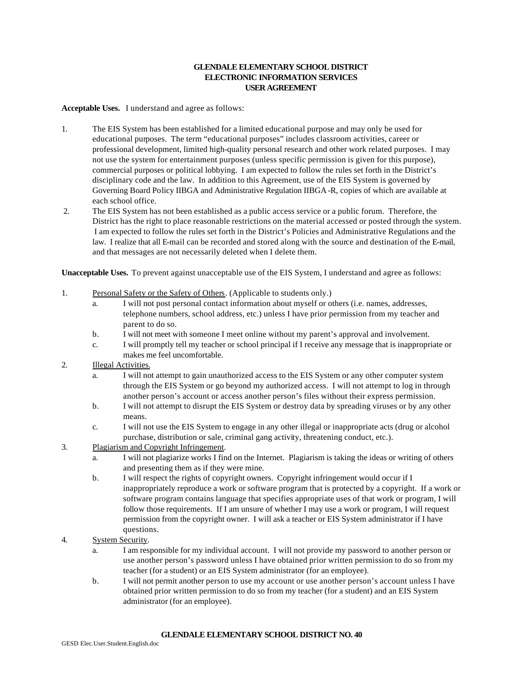### **GLENDALE ELEMENTARY SCHOOL DISTRICT ELECTRONIC INFORMATION SERVICES USER AGREEMENT**

**Acceptable Uses.** I understand and agree as follows:

- 1. The EIS System has been established for a limited educational purpose and may only be used for educational purposes. The term "educational purposes" includes classroom activities, career or professional development, limited high-quality personal research and other work related purposes. I may not use the system for entertainment purposes (unless specific permission is given for this purpose), commercial purposes or political lobbying. I am expected to follow the rules set forth in the District's disciplinary code and the law. In addition to this Agreement, use of the EIS System is governed by Governing Board Policy IIBGA and Administrative Regulation IIBGA -R, copies of which are available at each school office.
- 2. The EIS System has not been established as a public access service or a public forum. Therefore, the District has the right to place reasonable restrictions on the material accessed or posted through the system. I am expected to follow the rules set forth in the District's Policies and Administrative Regulations and the law. I realize that all E-mail can be recorded and stored along with the source and destination of the E-mail, and that messages are not necessarily deleted when I delete them.

**Unacceptable Uses.** To prevent against unacceptable use of the EIS System, I understand and agree as follows:

- 1. Personal Safety or the Safety of Others. (Applicable to students only.)
	- a. I will not post personal contact information about myself or others (i.e. names, addresses, telephone numbers, school address, etc.) unless I have prior permission from my teacher and parent to do so.
	- b. I will not meet with someone I meet online without my parent's approval and involvement.
	- c. I will promptly tell my teacher or school principal if I receive any message that is inappropriate or makes me feel uncomfortable.
- 2. Illegal Activities.
	- a. I will not attempt to gain unauthorized access to the EIS System or any other computer system through the EIS System or go beyond my authorized access. I will not attempt to log in through another person's account or access another person's files without their express permission.
	- b. I will not attempt to disrupt the EIS System or destroy data by spreading viruses or by any other means.
	- c. I will not use the EIS System to engage in any other illegal or inappropriate acts (drug or alcohol purchase, distribution or sale, criminal gang activity, threatening conduct, etc.).
- 3. Plagiarism and Copyright Infringement.
	- a. I will not plagiarize works I find on the Internet. Plagiarism is taking the ideas or writing of others and presenting them as if they were mine.
	- b. I will respect the rights of copyright owners. Copyright infringement would occur if I inappropriately reproduce a work or software program that is protected by a copyright. If a work or software program contains language that specifies appropriate uses of that work or program, I will follow those requirements. If I am unsure of whether I may use a work or program, I will request permission from the copyright owner. I will ask a teacher or EIS System administrator if I have questions.
- 4. System Security.
	- a. I am responsible for my individual account. I will not provide my password to another person or use another person's password unless I have obtained prior written permission to do so from my teacher (for a student) or an EIS System administrator (for an employee).
	- b. I will not permit another person to use my account or use another person's account unless I have obtained prior written permission to do so from my teacher (for a student) and an EIS System administrator (for an employee).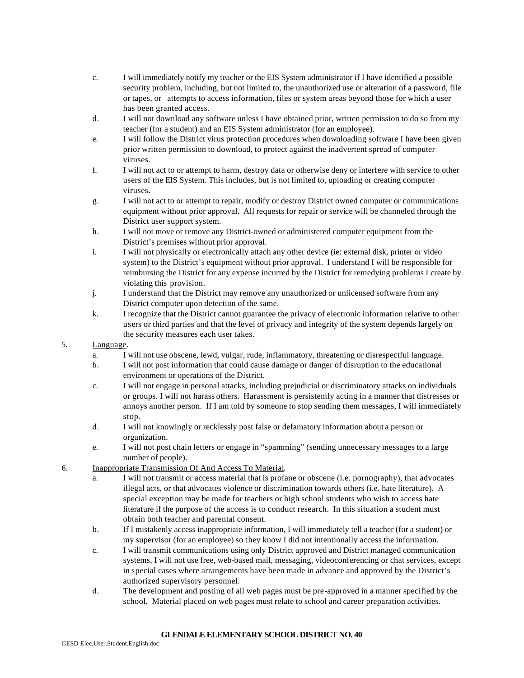- c. I will immediately notify my teacher or the EIS System administrator if I have identified a possible security problem, including, but not limited to, the unauthorized use or alteration of a password, file or tapes, or attempts to access information, files or system areas beyond those for which a user has been granted access.
- d. I will not download any software unless I have obtained prior, written permission to do so from my teacher (for a student) and an EIS System administrator (for an employee).
- e. I will follow the District virus protection procedures when downloading software I have been given prior written permission to download, to protect against the inadvertent spread of computer viruses.
- f. I will not act to or attempt to harm, destroy data or otherwise deny or interfere with service to other users of the EIS System. This includes, but is not limited to, uploading or creating computer viruses.
- g. I will not act to or attempt to repair, modify or destroy District owned computer or communications equipment without prior approval. All requests for repair or service will be channeled through the District user support system.
- h. I will not move or remove any District-owned or administered computer equipment from the District's premises without prior approval.
- i. I will not physically or electronically attach any other device (ie: external disk, printer or video system) to the District's equipment without prior approval. I understand I will be responsible for reimbursing the District for any expense incurred by the District for remedying problems I create by violating this provision.
- j. I understand that the District may remove any unauthorized or unlicensed software from any District computer upon detection of the same.
- k. I recognize that the District cannot guarantee the privacy of electronic information relative to other users or third parties and that the level of privacy and integrity of the system depends largely on the security measures each user takes.

### 5. Language.

- a. I will not use obscene, lewd, vulgar, rude, inflammatory, threatening or disrespectful language.
- b. I will not post information that could cause damage or danger of disruption to the educational environment or operations of the District.
- c. I will not engage in personal attacks, including prejudicial or discriminatory attacks on individuals or groups. I will not harass others. Harassment is persistently acting in a manner that distresses or annoys another person. If I am told by someone to stop sending them messages, I will immediately stop.
- d. I will not knowingly or recklessly post false or defamatory information about a person or organization.
- e. I will not post chain letters or engage in "spamming" (sending unnecessary messages to a large number of people).
- 6. Inappropriate Transmission Of And Access To Material.
	- a. I will not transmit or access material that is profane or obscene (i.e. pornography), that advocates illegal acts, or that advocates violence or discrimination towards others (i.e. hate literature). A special exception may be made for teachers or high school students who wish to access hate literature if the purpose of the access is to conduct research. In this situation a student must obtain both teacher and parental consent.
	- b. If I mistakenly access inappropriate information, I will immediately tell a teacher (for a student) or my supervisor (for an employee) so they know I did not intentionally access the information.
	- c. I will transmit communications using only District approved and District managed communication systems. I will not use free, web-based mail, messaging, videoconferencing or chat services, except in special cases where arrangements have been made in advance and approved by the District's authorized supervisory personnel.
	- d. The development and posting of all web pages must be pre-approved in a manner specified by the school. Material placed on web pages must relate to school and career preparation activities.

#### **GLENDALE ELEMENTARY SCHOOL DISTRICT NO. 40**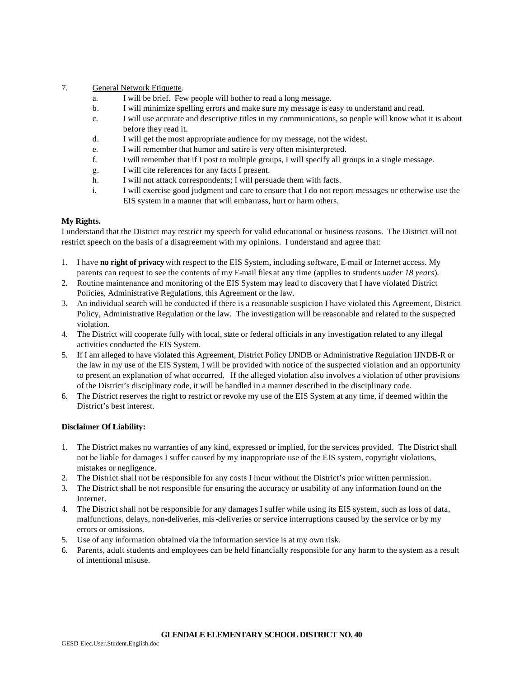#### 7. General Network Etiquette.

- a. I will be brief. Few people will bother to read a long message.
- b. I will minimize spelling errors and make sure my message is easy to understand and read.
- c. I will use accurate and descriptive titles in my communications, so people will know what it is about before they read it.
- d. I will get the most appropriate audience for my message, not the widest.
- e. I will remember that humor and satire is very often misinterpreted.
- f. I will remember that if I post to multiple groups, I will specify all groups in a single message.
- g. I will cite references for any facts I present.
- h. I will not attack correspondents; I will persuade them with facts.
- i. I will exercise good judgment and care to ensure that I do not report messages or otherwise use the EIS system in a manner that will embarrass, hurt or harm others.

## **My Rights.**

I understand that the District may restrict my speech for valid educational or business reasons. The District will not restrict speech on the basis of a disagreement with my opinions. I understand and agree that:

- 1. I have **no right of privacy** with respect to the EIS System, including software, E-mail or Internet access. My parents can request to see the contents of my E-mail files at any time (applies to students *under 18 years*).
- 2. Routine maintenance and monitoring of the EIS System may lead to discovery that I have violated District Policies, Administrative Regulations, this Agreement or the law.
- 3. An individual search will be conducted if there is a reasonable suspicion I have violated this Agreement, District Policy, Administrative Regulation or the law. The investigation will be reasonable and related to the suspected violation.
- 4. The District will cooperate fully with local, state or federal officials in any investigation related to any illegal activities conducted the EIS System.
- 5. If I am alleged to have violated this Agreement, District Policy IJNDB or Administrative Regulation IJNDB-R or the law in my use of the EIS System, I will be provided with notice of the suspected violation and an opportunity to present an explanation of what occurred. If the alleged violation also involves a violation of other provisions of the District's disciplinary code, it will be handled in a manner described in the disciplinary code.
- 6. The District reserves the right to restrict or revoke my use of the EIS System at any time, if deemed within the District's best interest.

#### **Disclaimer Of Liability:**

- 1. The District makes no warranties of any kind, expressed or implied, for the services provided.The District shall not be liable for damages I suffer caused by my inappropriate use of the EIS system, copyright violations, mistakes or negligence.
- 2. The District shall not be responsible for any costs I incur without the District's prior written permission.
- 3. The District shall be not responsible for ensuring the accuracy or usability of any information found on the Internet.
- 4. The District shall not be responsible for any damages I suffer while using its EIS system, such as loss of data, malfunctions, delays, non-deliveries, mis-deliveries or service interruptions caused by the service or by my errors or omissions.
- 5. Use of any information obtained via the information service is at my own risk.
- 6. Parents, adult students and employees can be held financially responsible for any harm to the system as a result of intentional misuse.